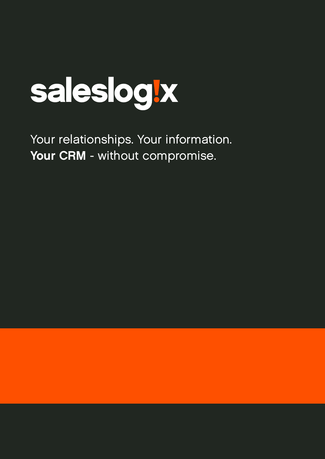

Your relationships. Your information. Your CRM - without compromise.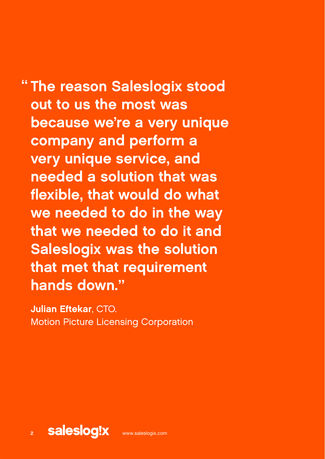# The reason Saleslogix stood " out to us the most was because we're a very unique company and perform a very unique service, and needed a solution that was flexible, that would do what we needed to do in the way that we needed to do it and Saleslogix was the solution

that met that requirement hands down."

Julian Eftekar, CTO. Motion Picture Licensing Corporation

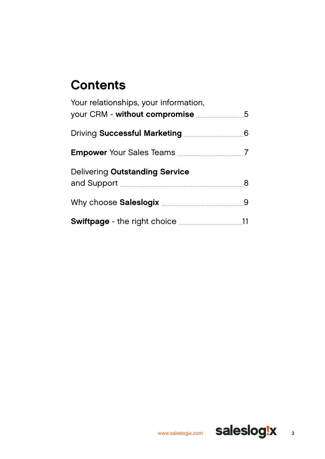# **Contents**

| Your relationships, your information,<br>your CRM - without compromise 5 |  |
|--------------------------------------------------------------------------|--|
|                                                                          |  |
|                                                                          |  |
| <b>Delivering Outstanding Service</b>                                    |  |
|                                                                          |  |
|                                                                          |  |

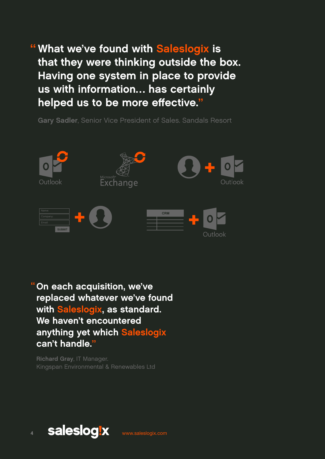" What we've found with Saleslogix is that they were thinking outside the box. Having one system in place to provide us with information… has certainly helped us to be more effective."

Gary Sadler, Senior Vice President of Sales. Sandals Resort



On each acquisition, we've replaced whatever we've found with Saleslogix, as standard. We haven't encountered anything yet which Saleslogix can't handle." "

Richard Gray, IT Manager. Kingspan Environmental & Renewables Ltd

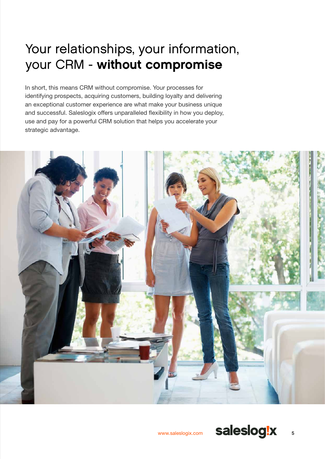# <span id="page-4-0"></span>Your relationships, your information, your CRM - without compromise

In short, this means CRM without compromise. Your processes for identifying prospects, acquiring customers, building loyalty and delivering an exceptional customer experience are what make your business unique and successful. Saleslogix offers unparalleled flexibility in how you deploy, use and pay for a powerful CRM solution that helps you accelerate your strategic advantage.

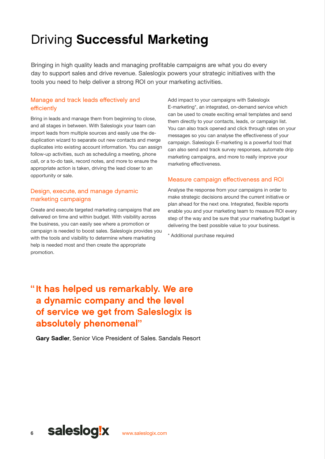# <span id="page-5-0"></span>Driving Successful Marketing

Bringing in high quality leads and managing profitable campaigns are what you do every day to support sales and drive revenue. Saleslogix powers your strategic initiatives with the tools you need to help deliver a strong ROI on your marketing activities.

## Manage and track leads effectively and efficiently

Bring in leads and manage them from beginning to close, and all stages in between. With Saleslogix your team can import leads from multiple sources and easily use the deduplication wizard to separate out new contacts and merge duplicates into existing account information. You can assign follow-up activities, such as scheduling a meeting, phone call, or a to-do task, record notes, and more to ensure the appropriate action is taken, driving the lead closer to an opportunity or sale.

## Design, execute, and manage dynamic marketing campaigns

Create and execute targeted marketing campaigns that are delivered on time and within budget. With visibility across the business, you can easily see where a promotion or campaign is needed to boost sales. Saleslogix provides you with the tools and visibility to determine where marketing help is needed most and then create the appropriate promotion.

Add impact to your campaigns with Saleslogix E-marketing\*, an integrated, on-demand service which can be used to create exciting email templates and send them directly to your contacts, leads, or campaign list. You can also track opened and click through rates on your messages so you can analyse the effectiveness of your campaign. Saleslogix E-marketing is a powerful tool that can also send and track survey responses, automate drip marketing campaigns, and more to really improve your marketing effectiveness.

## Measure campaign effectiveness and ROI

Analyse the response from your campaigns in order to make strategic decisions around the current initiative or plan ahead for the next one. Integrated, flexible reports enable you and your marketing team to measure ROI every step of the way and be sure that your marketing budget is delivering the best possible value to your business.

\* Additional purchase required

# "It has helped us remarkably. We are a dynamic company and the level of service we get from Saleslogix is absolutely phenomenal"

Gary Sadler, Senior Vice President of Sales. Sandals Resort

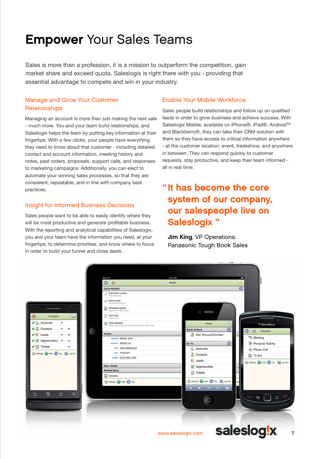# <span id="page-6-0"></span>Empower Your Sales Teams

Sales is more than a profession, it is a mission to outperform the competition, gain market share and exceed quota. Saleslogix is right there with you - providing that essential advantage to compete and win in your industry.

## Manage and Grow Your Customer **Relationships**

Managing an account is more than just making the next sale - much more. You and your team build relationships, and Saleslogix helps the team by putting key information at their fingertips. With a few clicks, your people have everything they need to know about that customer - including detailed contact and account information, meeting history and notes, past orders, proposals, support calls, and responses to marketing campaigns. Additionally, you can elect to automate your winning sales processes, so that they are consistent, repeatable, and in line with company best practices.

## Insight for Informed Business Decisions

Sales people want to be able to easily identify where they will be most productive and generate profitable business. With the reporting and analytical capabilities of Saleslogix, you and your team have the information you need, at your fingertips, to determine priorities, and know where to focus in order to build your funnel and close deals.

### Enable Your Mobile Workforce

Sales people build relationships and follow up on qualified leads in order to grow business and achieve success. With Saleslogix Mobile, available on iPhone®, iPad®, Android™ and Blackberry®, they can take their CRM solution with them so they have access to critical information anywhere - at the customer location, event, tradeshow, and anywhere in between. They can respond quickly to customer requests, stay productive, and keep their team informed all in real time.

# "It has become the core system of our company, our salespeople live on Saleslogix "

**Jim King, VP Operations.** Panasonic Tough Book Sales

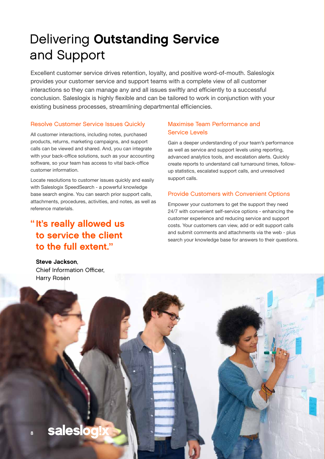# <span id="page-7-0"></span>Delivering Outstanding Service and Support

Excellent customer service drives retention, loyalty, and positive word-of-mouth. Saleslogix provides your customer service and support teams with a complete view of all customer interactions so they can manage any and all issues swiftly and efficiently to a successful conclusion. Saleslogix is highly flexible and can be tailored to work in conjunction with your existing business processes, streamlining departmental efficiencies.

### Resolve Customer Service Issues Quickly

All customer interactions, including notes, purchased products, returns, marketing campaigns, and support calls can be viewed and shared. And, you can integrate with your back-office solutions, such as your accounting software, so your team has access to vital back-office customer information.

Locate resolutions to customer issues quickly and easily with Saleslogix SpeedSearch - a powerful knowledge base search engine. You can search prior support calls, attachments, procedures, activities, and notes, as well as reference materials.

## "It's really allowed us to service the client to the full extent."

## Maximise Team Performance and Service Levels

Gain a deeper understanding of your team's performance as well as service and support levels using reporting, advanced analytics tools, and escalation alerts. Quickly create reports to understand call turnaround times, followup statistics, escalated support calls, and unresolved support calls.

## Provide Customers with Convenient Options

Empower your customers to get the support they need 24/7 with convenient self-service options - enhancing the customer experience and reducing service and support costs. Your customers can view, add or edit support calls and submit comments and attachments via the web - plus search your knowledge base for answers to their questions.



Chief Information Officer,

Steve Jackson,

**saleslo** 

8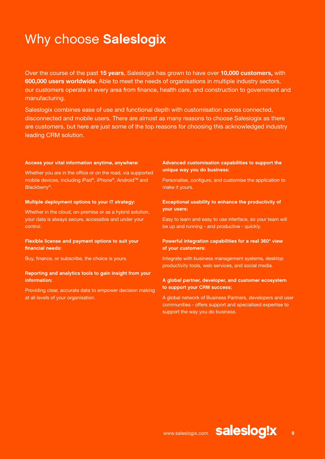# <span id="page-8-0"></span>Why choose Saleslogix

Over the course of the past **15 years**, Saleslogix has grown to have over **10,000 customers,** with **600,000 users worldwide.** Able to meet the needs of organisations in multiple industry sectors, our customers operate in every area from finance, health care, and construction to government and manufacturing.

Saleslogix combines ease of use and functional depth with customisation across connected, disconnected and mobile users. There are almost as many reasons to choose Saleslogix as there are customers, but here are just some of the top reasons for choosing this acknowledged industry leading CRM solution.

#### Access your vital information anytime, anywhere:

Whether you are in the office or on the road, via supported mobile devices, including iPad®, iPhone®, Android™ and Blackberry®.

#### Multiple deployment options to your IT strategy:

Whether in the cloud, on-premise or as a hybrid solution, your data is always secure, accessible and under your control.

### Flexible license and payment options to suit your financial needs:

Buy, finance, or subscribe, the choice is yours.

#### Reporting and analytics tools to gain insight from your information:

Providing clear, accurate data to empower decision making at all levels of your organisation.

### Advanced customisation capabilities to support the unique way you do business:

Personalise, configure, and customise the application to make it yours.

### Exceptional usability to enhance the productivity of your users:

Easy to learn and easy to use interface, so your team will be up and running - and productive - quickly.

### Powerful integration capabilities for a real 360° view of your customers:

Integrate with business management systems, desktop productivity tools, web services, and social media.

### A global partner, developer, and customer ecosystem to support your CRM success;

A global network of Business Partners, developers and user communities - offers support and specialised expertise to support the way you do business.

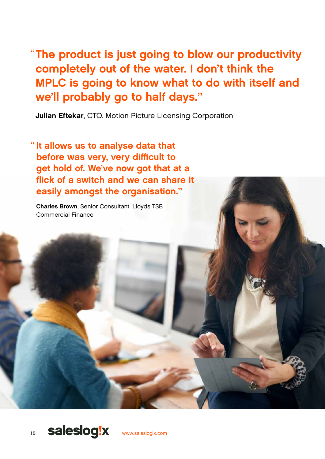The product is just going to blow our productivity " completely out of the water. I don't think the MPLC is going to know what to do with itself and we'll probably go to half days."

Julian Eftekar, CTO. Motion Picture Licensing Corporation

"It allows us to analyse data that before was very, very difficult to get hold of. We've now got that at a flick of a switch and we can share it easily amongst the organisation."

Charles Brown, Senior Consultant. Lloyds TSB Commercial Finance

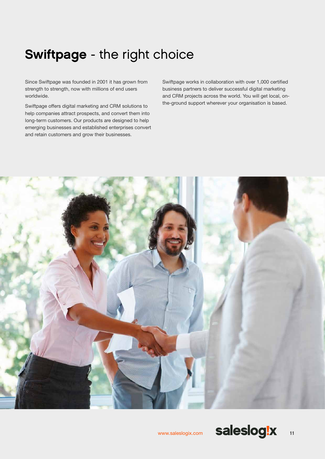# <span id="page-10-0"></span>Swiftpage - the right choice

Since Swiftpage was founded in 2001 it has grown from strength to strength, now with millions of end users worldwide.

Swiftpage offers digital marketing and CRM solutions to help companies attract prospects, and convert them into long-term customers. Our products are designed to help emerging businesses and established enterprises convert and retain customers and grow their businesses.

Swiftpage works in collaboration with over 1,000 certified business partners to deliver successful digital marketing and CRM projects across the world. You will get local, onthe-ground support wherever your organisation is based.